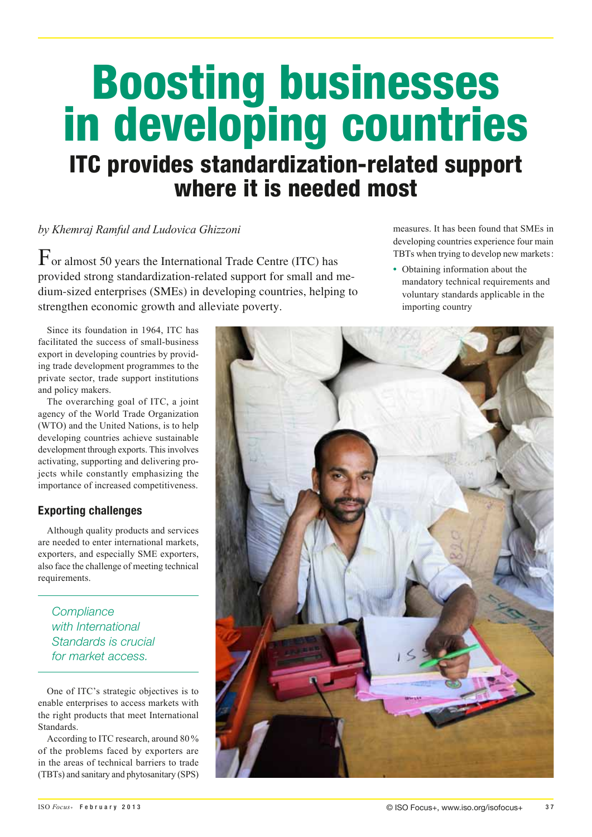# Boosting businesses in developing countries ITC provides standardization-related support where it is needed most

## *by Khemraj Ramful and Ludovica Ghizzoni*

For almost 50 years the International Trade Centre (ITC) has provided strong standardization-related support for small and medium-sized enterprises (SMEs) in developing countries, helping to strengthen economic growth and alleviate poverty.

Since its foundation in 1964, ITC has facilitated the success of small-business export in developing countries by providing trade development programmes to the private sector, trade support institutions and policy makers.

The overarching goal of ITC, a joint agency of the World Trade Organization (WTO) and the United Nations, is to help developing countries achieve sustainable development through exports. This involves activating, supporting and delivering projects while constantly emphasizing the importance of increased competitiveness.

## Exporting challenges

Although quality products and services are needed to enter international markets, exporters, and especially SME exporters, also face the challenge of meeting technical requirements.

**Compliance** with International Standards is crucial for market access.

One of ITC's strategic objectives is to enable enterprises to access markets with the right products that meet International Standards.

According to ITC research, around 80 % of the problems faced by exporters are in the areas of technical barriers to trade (TBTs) and sanitary and phytosanitary (SPS)

measures. It has been found that SMEs in developing countries experience four main TBTs when trying to develop new markets:

**•**  Obtaining information about the mandatory technical requirements and voluntary standards applicable in the importing country

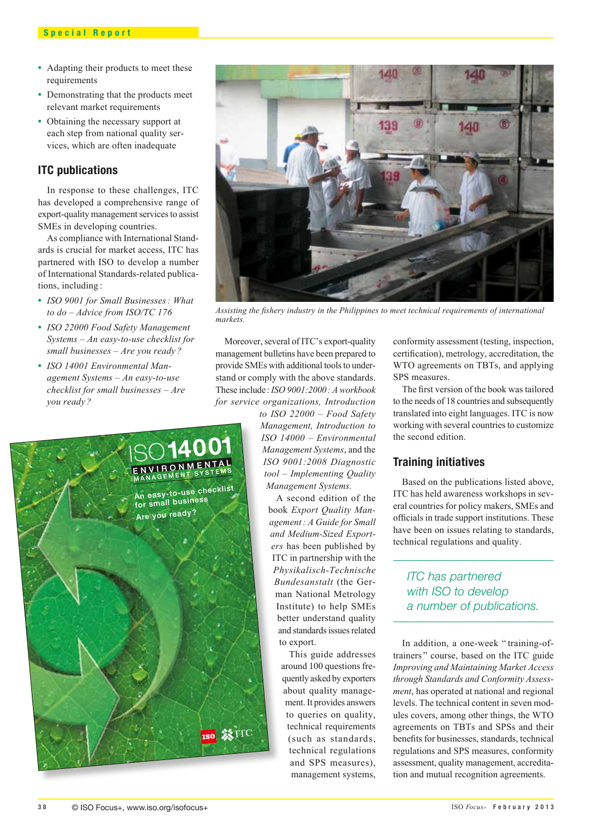- Adapting their products to meet these requirements
- Demonstrating that the products meet relevant market requirements
- Obtaining the necessary support at each step from national quality services, which are often inadequate

#### ITC publications

In response to these challenges, ITC has developed a comprehensive range of export-quality management services to assist SMEs in developing countries.

As compliance with International Standards is crucial for market access, ITC has partnered with ISO to develop a number of International Standards-related publications, including :

- **•**  *ISO 9001 for Small Businesses: What to do – Advice from ISO/TC 176*
- **•**  *ISO 22000 Food Safety Management Systems – An easy-to-use checklist for small businesses – Are you ready ?*
- **•**  *ISO 14001 Environmental Management Systems – An easy-to-use checklist for small businesses – Are you ready ?*



*Assisting the fishery industry in the Philippines to meet technical requirements of international markets.*

Moreover, several of ITC's export-quality management bulletins have been prepared to provide SMEs with additional tools to understand or comply with the above standards. These include: *ISO 9001:2000: A workbook for service organizations, Introduction* 

*to ISO 22000 – Food Safety Management, Introduction to ISO 14000 – Environmental Management Systems*, and the *ISO 9001:2008 Diagnostic tool – Implementing Quality Management Systems.*

A second edition of the book *Export Quality Management: A Guide for Small and Medium-Sized Exporters* has been published by ITC in partnership with the *Physikalisch-Technische Bundesanstalt* (the German National Metrology Institute) to help SMEs better understand quality and standards issues related to export.

> This guide addresses around 100 questions frequently asked by exporters about quality management. It provides answers to queries on quality, technical requirements (such as standards, technical regulations and SPS measures), management systems,

conformity assessment (testing, inspection, certification), metrology, accreditation, the WTO agreements on TBTs, and applying SPS measures.

The first version of the book was tailored to the needs of 18 countries and subsequently translated into eight languages. ITC is now working with several countries to customize the second edition.

#### Training initiatives

Based on the publications listed above, ITC has held awareness workshops in several countries for policy makers, SMEs and officials in trade support institutions. These have been on issues relating to standards, technical regulations and quality.

## ITC has partnered with ISO to develop a number of publications.

In addition, a one-week " training-oftrainers " course, based on the ITC guide *Improving and Maintaining Market Access through Standards and Conformity Assessment*, has operated at national and regional levels. The technical content in seven modules covers, among other things, the WTO agreements on TBTs and SPSs and their benefits for businesses, standards, technical regulations and SPS measures, conformity assessment, quality management, accreditation and mutual recognition agreements.